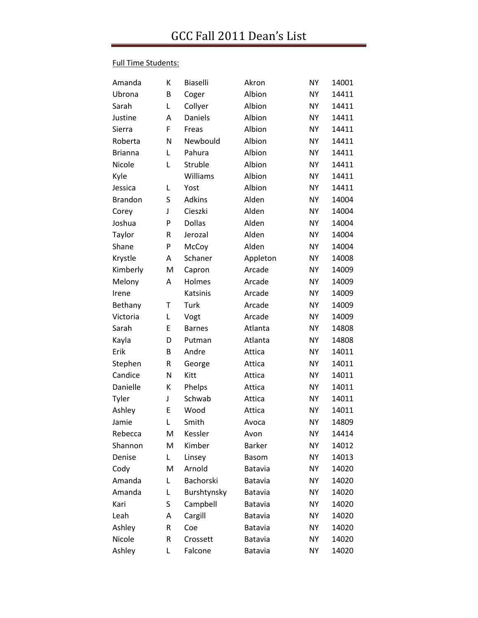#### Full Time Students:

| Amanda         | К | <b>Biaselli</b> | Akron         | <b>NY</b> | 14001 |
|----------------|---|-----------------|---------------|-----------|-------|
| Ubrona         | B | Coger           | Albion        | <b>NY</b> | 14411 |
| Sarah          | L | Collyer         | Albion        | <b>NY</b> | 14411 |
| Justine        | A | Daniels         | Albion        | <b>NY</b> | 14411 |
| Sierra         | F | Freas           | Albion        | <b>NY</b> | 14411 |
| Roberta        | N | Newbould        | Albion        | <b>NY</b> | 14411 |
| <b>Brianna</b> | L | Pahura          | Albion        | <b>NY</b> | 14411 |
| Nicole         | Г | Struble         | Albion        | <b>NY</b> | 14411 |
| Kyle           |   | Williams        | Albion        | <b>NY</b> | 14411 |
| Jessica        | L | Yost            | Albion        | <b>NY</b> | 14411 |
| <b>Brandon</b> | S | <b>Adkins</b>   | Alden         | <b>NY</b> | 14004 |
| Corey          | J | Cieszki         | Alden         | <b>NY</b> | 14004 |
| Joshua         | P | <b>Dollas</b>   | Alden         | <b>NY</b> | 14004 |
| Taylor         | R | Jerozal         | Alden         | <b>NY</b> | 14004 |
| Shane          | P | McCoy           | Alden         | <b>NY</b> | 14004 |
| Krystle        | Α | Schaner         | Appleton      | <b>NY</b> | 14008 |
| Kimberly       | M | Capron          | Arcade        | <b>NY</b> | 14009 |
| Melony         | A | Holmes          | Arcade        | <b>NY</b> | 14009 |
| Irene          |   | Katsinis        | Arcade        | <b>NY</b> | 14009 |
| Bethany        | Т | Turk            | Arcade        | <b>NY</b> | 14009 |
| Victoria       | L | Vogt            | Arcade        | <b>NY</b> | 14009 |
| Sarah          | E | <b>Barnes</b>   | Atlanta       | <b>NY</b> | 14808 |
| Kayla          | D | Putman          | Atlanta       | <b>NY</b> | 14808 |
| Erik           | B | Andre           | Attica        | <b>NY</b> | 14011 |
| Stephen        | R | George          | Attica        | <b>NY</b> | 14011 |
| Candice        | N | Kitt            | Attica        | <b>NY</b> | 14011 |
| Danielle       | К | Phelps          | Attica        | <b>NY</b> | 14011 |
| Tyler          | J | Schwab          | Attica        | <b>NY</b> | 14011 |
| Ashley         | E | Wood            | Attica        | <b>NY</b> | 14011 |
| Jamie          | Г | Smith           | Avoca         | <b>NY</b> | 14809 |
| Rebecca        | M | Kessler         | Avon          | <b>NY</b> | 14414 |
| Shannon        | M | Kimber          | <b>Barker</b> | <b>NY</b> | 14012 |
| Denise         | L | Linsey          | <b>Basom</b>  | <b>NY</b> | 14013 |
| Cody           | M | Arnold          | Batavia       | <b>NY</b> | 14020 |
| Amanda         | L | Bachorski       | Batavia       | <b>NY</b> | 14020 |
| Amanda         | Г | Burshtynsky     | Batavia       | <b>NY</b> | 14020 |
| Kari           | S | Campbell        | Batavia       | <b>NY</b> | 14020 |
| Leah           | Α | Cargill         | Batavia       | <b>NY</b> | 14020 |
| Ashley         | R | Coe             | Batavia       | <b>NY</b> | 14020 |
| Nicole         | R | Crossett        | Batavia       | <b>NY</b> | 14020 |
| Ashley         | L | Falcone         | Batavia       | <b>NY</b> | 14020 |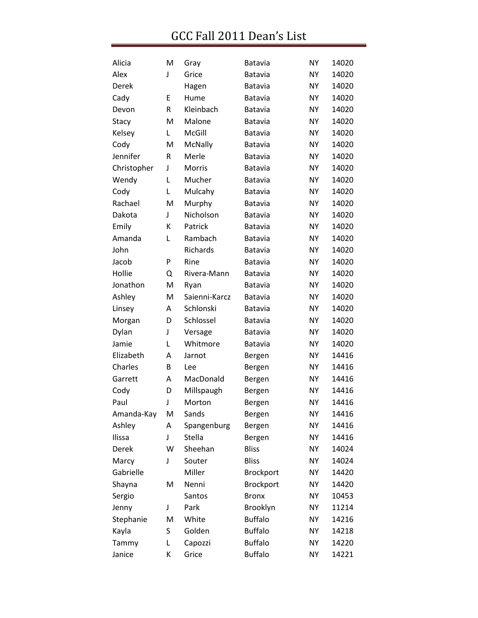| Alicia      | M | Gray          | <b>Batavia</b>   | <b>NY</b> | 14020 |
|-------------|---|---------------|------------------|-----------|-------|
| Alex        | J | Grice         | Batavia          | <b>NY</b> | 14020 |
| Derek       |   | Hagen         | Batavia          | <b>NY</b> | 14020 |
| Cady        | E | Hume          | Batavia          | <b>NY</b> | 14020 |
| Devon       | R | Kleinbach     | Batavia          | <b>NY</b> | 14020 |
| Stacy       | M | Malone        | Batavia          | <b>NY</b> | 14020 |
| Kelsey      | Г | McGill        | Batavia          | <b>NY</b> | 14020 |
| Cody        | M | McNally       | Batavia          | <b>NY</b> | 14020 |
| Jennifer    | R | Merle         | Batavia          | <b>NY</b> | 14020 |
| Christopher | J | Morris        | Batavia          | <b>NY</b> | 14020 |
| Wendy       | Г | Mucher        | Batavia          | <b>NY</b> | 14020 |
| Cody        | L | Mulcahy       | Batavia          | <b>NY</b> | 14020 |
| Rachael     | M | Murphy        | Batavia          | <b>NY</b> | 14020 |
| Dakota      | J | Nicholson     | Batavia          | <b>NY</b> | 14020 |
| Emily       | К | Patrick       | Batavia          | <b>NY</b> | 14020 |
| Amanda      | L | Rambach       | Batavia          | <b>NY</b> | 14020 |
| John        |   | Richards      | Batavia          | <b>NY</b> | 14020 |
| Jacob       | P | Rine          | Batavia          | <b>NY</b> | 14020 |
| Hollie      | Q | Rivera-Mann   | Batavia          | <b>NY</b> | 14020 |
| Jonathon    | M | Ryan          | Batavia          | <b>NY</b> | 14020 |
| Ashley      | M | Saienni-Karcz | Batavia          | <b>NY</b> | 14020 |
| Linsey      | A | Schlonski     | Batavia          | <b>NY</b> | 14020 |
| Morgan      | D | Schlossel     | Batavia          | <b>NY</b> | 14020 |
| Dylan       | J | Versage       | Batavia          | <b>NY</b> | 14020 |
| Jamie       | L | Whitmore      | Batavia          | <b>NY</b> | 14020 |
| Elizabeth   | Α | Jarnot        | Bergen           | <b>NY</b> | 14416 |
| Charles     | B | Lee           | Bergen           | NY        | 14416 |
| Garrett     | Α | MacDonald     | Bergen           | <b>NY</b> | 14416 |
| Cody        | D | Millspaugh    | Bergen           | <b>NY</b> | 14416 |
| Paul        | J | Morton        | Bergen           | <b>NY</b> | 14416 |
| Amanda-Kay  | M | Sands         | Bergen           | <b>NY</b> | 14416 |
| Ashley      | A | Spangenburg   | Bergen           | <b>NY</b> | 14416 |
| Ilissa      | J | Stella        | Bergen           | <b>NY</b> | 14416 |
| Derek       | W | Sheehan       | <b>Bliss</b>     | <b>NY</b> | 14024 |
| Marcy       | J | Souter        | <b>Bliss</b>     | <b>NY</b> | 14024 |
| Gabrielle   |   | Miller        | <b>Brockport</b> | <b>NY</b> | 14420 |
| Shayna      | M | Nenni         | <b>Brockport</b> | <b>NY</b> | 14420 |
| Sergio      |   | Santos        | <b>Bronx</b>     | <b>NY</b> | 10453 |
| Jenny       | J | Park          | Brooklyn         | <b>NY</b> | 11214 |
| Stephanie   | M | White         | <b>Buffalo</b>   | <b>NY</b> | 14216 |
| Kayla       | S | Golden        | <b>Buffalo</b>   | <b>NY</b> | 14218 |
| Tammy       | L | Capozzi       | <b>Buffalo</b>   | <b>NY</b> | 14220 |
| Janice      | К | Grice         | <b>Buffalo</b>   | <b>NY</b> | 14221 |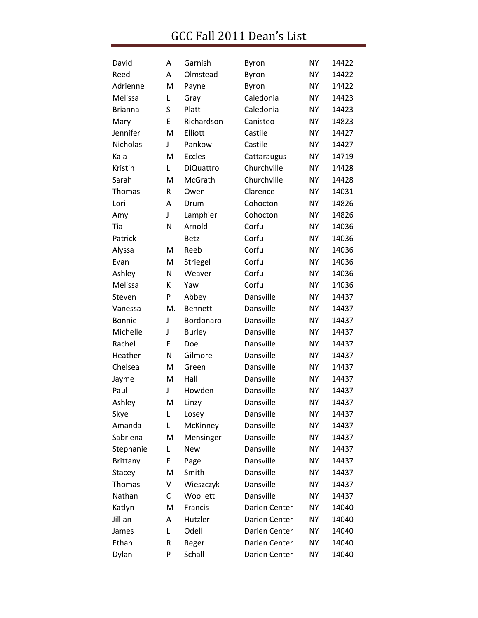| David           | Α  | Garnish          | Byron         | <b>NY</b> | 14422 |
|-----------------|----|------------------|---------------|-----------|-------|
| Reed            | Α  | Olmstead         | Byron         | <b>NY</b> | 14422 |
| Adrienne        | M  | Payne            | Byron         | <b>NY</b> | 14422 |
| Melissa         | L  | Gray             | Caledonia     | <b>NY</b> | 14423 |
| <b>Brianna</b>  | S  | Platt            | Caledonia     | <b>NY</b> | 14423 |
| Mary            | E  | Richardson       | Canisteo      | <b>NY</b> | 14823 |
| Jennifer        | M  | Elliott          | Castile       | <b>NY</b> | 14427 |
| Nicholas        | J  | Pankow           | Castile       | <b>NY</b> | 14427 |
| Kala            | M  | <b>Eccles</b>    | Cattaraugus   | <b>NY</b> | 14719 |
| Kristin         | Г  | <b>DiQuattro</b> | Churchville   | <b>NY</b> | 14428 |
| Sarah           | M  | McGrath          | Churchville   | <b>NY</b> | 14428 |
| <b>Thomas</b>   | R  | Owen             | Clarence      | <b>NY</b> | 14031 |
| Lori            | Α  | Drum             | Cohocton      | <b>NY</b> | 14826 |
| Amy             | J  | Lamphier         | Cohocton      | <b>NY</b> | 14826 |
| Tia             | N  | Arnold           | Corfu         | <b>NY</b> | 14036 |
| Patrick         |    | <b>Betz</b>      | Corfu         | <b>NY</b> | 14036 |
| Alyssa          | M  | Reeb             | Corfu         | <b>NY</b> | 14036 |
| Evan            | M  | Striegel         | Corfu         | <b>NY</b> | 14036 |
| Ashley          | N  | Weaver           | Corfu         | <b>NY</b> | 14036 |
| Melissa         | К  | Yaw              | Corfu         | <b>NY</b> | 14036 |
| Steven          | P  | Abbey            | Dansville     | <b>NY</b> | 14437 |
| Vanessa         | M. | <b>Bennett</b>   | Dansville     | <b>NY</b> | 14437 |
| <b>Bonnie</b>   | J  | Bordonaro        | Dansville     | <b>NY</b> | 14437 |
| Michelle        | J  | <b>Burley</b>    | Dansville     | <b>NY</b> | 14437 |
| Rachel          | E  | Doe              | Dansville     | <b>NY</b> | 14437 |
| Heather         | N  | Gilmore          | Dansville     | <b>NY</b> | 14437 |
| Chelsea         | M  | Green            | Dansville     | <b>NY</b> | 14437 |
| Jayme           | M  | Hall             | Dansville     | <b>NY</b> | 14437 |
| Paul            | J  | Howden           | Dansville     | <b>NY</b> | 14437 |
| Ashley          | M  | Linzy            | Dansville     | <b>NY</b> | 14437 |
| Skye            | L  | Losey            | Dansville     | <b>NY</b> | 14437 |
| Amanda          | L  | McKinney         | Dansville     | <b>NY</b> | 14437 |
| Sabriena        | M  | Mensinger        | Dansville     | <b>NY</b> | 14437 |
| Stephanie       | L  | <b>New</b>       | Dansville     | <b>NY</b> | 14437 |
| <b>Brittany</b> | E  | Page             | Dansville     | <b>NY</b> | 14437 |
| Stacey          | M  | Smith            | Dansville     | <b>NY</b> | 14437 |
| <b>Thomas</b>   | ٧  | Wieszczyk        | Dansville     | <b>NY</b> | 14437 |
| Nathan          | С  | Woollett         | Dansville     | <b>NY</b> | 14437 |
| Katlyn          | M  | Francis          | Darien Center | <b>NY</b> | 14040 |
| Jillian         | A  | Hutzler          | Darien Center | <b>NY</b> | 14040 |
| James           | L  | Odell            | Darien Center | <b>NY</b> | 14040 |
| Ethan           | R  | Reger            | Darien Center | <b>NY</b> | 14040 |
| Dylan           | P  | Schall           | Darien Center | NΥ        | 14040 |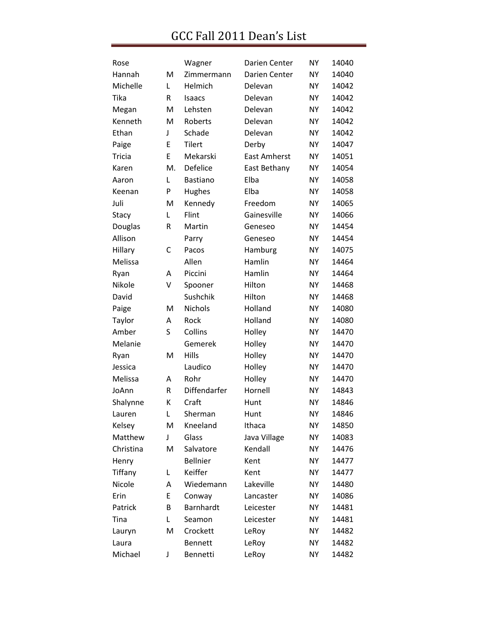| Rose      |    | Wagner          | Darien Center       | NΥ | 14040 |
|-----------|----|-----------------|---------------------|----|-------|
| Hannah    | M  | Zimmermann      | Darien Center       | NΥ | 14040 |
| Michelle  | Г  | Helmich         | Delevan             | NΥ | 14042 |
| Tika      | R  | <b>Isaacs</b>   | Delevan             | NΥ | 14042 |
| Megan     | M  | Lehsten         | Delevan             | NΥ | 14042 |
| Kenneth   | M  | Roberts         | Delevan             | NΥ | 14042 |
| Ethan     | J  | Schade          | Delevan             | NΥ | 14042 |
| Paige     | E  | <b>Tilert</b>   | Derby               | NΥ | 14047 |
| Tricia    | E  | Mekarski        | <b>East Amherst</b> | NΥ | 14051 |
| Karen     | М. | <b>Defelice</b> | East Bethany        | NY | 14054 |
| Aaron     | L  | <b>Bastiano</b> | Elba                | NY | 14058 |
| Keenan    | P  | Hughes          | Elba                | NΥ | 14058 |
| Juli      | M  | Kennedy         | Freedom             | NΥ | 14065 |
| Stacy     | Г  | Flint           | Gainesville         | NΥ | 14066 |
| Douglas   | R  | Martin          | Geneseo             | NΥ | 14454 |
| Allison   |    | Parry           | Geneseo             | NΥ | 14454 |
| Hillary   | С  | Pacos           | Hamburg             | NY | 14075 |
| Melissa   |    | Allen           | Hamlin              | NΥ | 14464 |
| Ryan      | A  | Piccini         | Hamlin              | NY | 14464 |
| Nikole    | V  | Spooner         | Hilton              | NΥ | 14468 |
| David     |    | Sushchik        | Hilton              | NY | 14468 |
| Paige     | M  | <b>Nichols</b>  | Holland             | NΥ | 14080 |
| Taylor    | Α  | Rock            | Holland             | NY | 14080 |
| Amber     | S  | Collins         | Holley              | NΥ | 14470 |
| Melanie   |    | Gemerek         | Holley              | NY | 14470 |
| Ryan      | M  | Hills           | Holley              | NΥ | 14470 |
| Jessica   |    | Laudico         | Holley              | NY | 14470 |
| Melissa   | A  | Rohr            | Holley              | NY | 14470 |
| JoAnn     | R  | Diffendarfer    | Hornell             | NΥ | 14843 |
| Shalynne  | К  | Craft           | Hunt                | NΥ | 14846 |
| Lauren    | L  | Sherman         | Hunt                | NY | 14846 |
| Kelsey    | M  | Kneeland        | Ithaca              | NY | 14850 |
| Matthew   | J  | Glass           | Java Village        | NY | 14083 |
| Christina | M  | Salvatore       | Kendall             | NY | 14476 |
| Henry     |    | <b>Bellnier</b> | Kent                | NY | 14477 |
| Tiffany   | L  | Keiffer         | Kent                | NΥ | 14477 |
| Nicole    | A  | Wiedemann       | Lakeville           | NY | 14480 |
| Erin      | E  | Conway          | Lancaster           | NΥ | 14086 |
| Patrick   | B  | Barnhardt       | Leicester           | NY | 14481 |
| Tina      | L  | Seamon          | Leicester           | NΥ | 14481 |
| Lauryn    | M  | Crockett        | LeRoy               | NY | 14482 |
| Laura     |    | <b>Bennett</b>  | LeRoy               | NΥ | 14482 |
| Michael   | J  | Bennetti        | LeRoy               | NY | 14482 |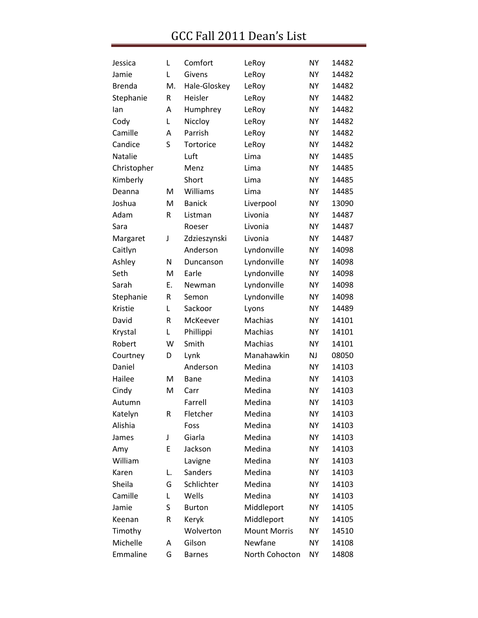| Jessica       | L  | Comfort       | LeRoy               | <b>NY</b> | 14482 |
|---------------|----|---------------|---------------------|-----------|-------|
| Jamie         | L  | Givens        | LeRoy               | <b>NY</b> | 14482 |
| <b>Brenda</b> | М. | Hale-Gloskey  | LeRoy               | <b>NY</b> | 14482 |
| Stephanie     | R  | Heisler       | LeRoy               | <b>NY</b> | 14482 |
| lan           | A  | Humphrey      | LeRoy               | <b>NY</b> | 14482 |
| Cody          | Г  | Niccloy       | LeRoy               | <b>NY</b> | 14482 |
| Camille       | A  | Parrish       | LeRoy               | <b>NY</b> | 14482 |
| Candice       | S  | Tortorice     | LeRoy               | <b>NY</b> | 14482 |
| Natalie       |    | Luft          | Lima                | <b>NY</b> | 14485 |
| Christopher   |    | Menz          | Lima                | <b>NY</b> | 14485 |
| Kimberly      |    | Short         | Lima                | <b>NY</b> | 14485 |
| Deanna        | M  | Williams      | Lima                | <b>NY</b> | 14485 |
| Joshua        | M  | <b>Banick</b> | Liverpool           | <b>NY</b> | 13090 |
| Adam          | R  | Listman       | Livonia             | <b>NY</b> | 14487 |
| Sara          |    | Roeser        | Livonia             | <b>NY</b> | 14487 |
| Margaret      | J  | Zdzieszynski  | Livonia             | <b>NY</b> | 14487 |
| Caitlyn       |    | Anderson      | Lyndonville         | <b>NY</b> | 14098 |
| Ashley        | N  | Duncanson     | Lyndonville         | <b>NY</b> | 14098 |
| Seth          | M  | Earle         | Lyndonville         | <b>NY</b> | 14098 |
| Sarah         | Ε. | Newman        | Lyndonville         | <b>NY</b> | 14098 |
| Stephanie     | R  | Semon         | Lyndonville         | NΥ        | 14098 |
| Kristie       | L  | Sackoor       | Lyons               | <b>NY</b> | 14489 |
| David         | R  | McKeever      | <b>Machias</b>      | <b>NY</b> | 14101 |
| Krystal       | L  | Phillippi     | Machias             | <b>NY</b> | 14101 |
| Robert        | W  | Smith         | Machias             | <b>NY</b> | 14101 |
| Courtney      | D  | Lynk          | Manahawkin          | NJ        | 08050 |
| Daniel        |    | Anderson      | Medina              | <b>NY</b> | 14103 |
| Hailee        | M  | Bane          | Medina              | <b>NY</b> | 14103 |
| Cindy         | M  | Carr          | Medina              | NΥ        | 14103 |
| Autumn        |    | Farrell       | Medina              | <b>NY</b> | 14103 |
| Katelyn       | R  | Fletcher      | Medina              | <b>NY</b> | 14103 |
| Alishia       |    | Foss          | Medina              | <b>NY</b> | 14103 |
| James         | J  | Giarla        | Medina              | NY        | 14103 |
| Amy           | E  | Jackson       | Medina              | <b>NY</b> | 14103 |
| William       |    | Lavigne       | Medina              | <b>NY</b> | 14103 |
| Karen         | L. | Sanders       | Medina              | <b>NY</b> | 14103 |
| Sheila        | G  | Schlichter    | Medina              | <b>NY</b> | 14103 |
| Camille       | L  | Wells         | Medina              | <b>NY</b> | 14103 |
| Jamie         | S  | <b>Burton</b> | Middleport          | <b>NY</b> | 14105 |
| Keenan        | R  | Keryk         | Middleport          | NY        | 14105 |
| Timothy       |    | Wolverton     | <b>Mount Morris</b> | NY        | 14510 |
| Michelle      | Α  | Gilson        | Newfane             | <b>NY</b> | 14108 |
| Emmaline      | G  | <b>Barnes</b> | North Cohocton      | <b>NY</b> | 14808 |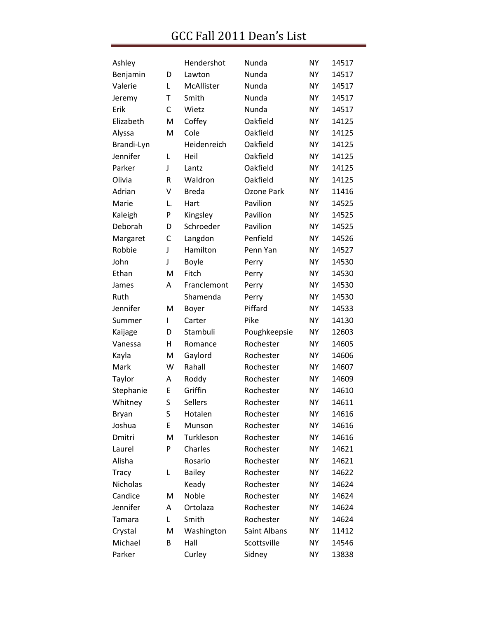| Ashley          |    | Hendershot     | Nunda        | <b>NY</b> | 14517 |
|-----------------|----|----------------|--------------|-----------|-------|
| Benjamin        | D  | Lawton         | Nunda        | <b>NY</b> | 14517 |
| Valerie         | L  | McAllister     | Nunda        | <b>NY</b> | 14517 |
| Jeremy          | Т  | Smith          | Nunda        | NY        | 14517 |
| Erik            | С  | Wietz          | Nunda        | <b>NY</b> | 14517 |
| Elizabeth       | M  | Coffey         | Oakfield     | <b>NY</b> | 14125 |
| Alyssa          | M  | Cole           | Oakfield     | <b>NY</b> | 14125 |
| Brandi-Lyn      |    | Heidenreich    | Oakfield     | NY        | 14125 |
| Jennifer        | L  | Heil           | Oakfield     | <b>NY</b> | 14125 |
| Parker          | J  | Lantz          | Oakfield     | <b>NY</b> | 14125 |
| Olivia          | R  | Waldron        | Oakfield     | <b>NY</b> | 14125 |
| Adrian          | ٧  | <b>Breda</b>   | Ozone Park   | <b>NY</b> | 11416 |
| Marie           | L. | Hart           | Pavilion     | <b>NY</b> | 14525 |
| Kaleigh         | P  | Kingsley       | Pavilion     | <b>NY</b> | 14525 |
| Deborah         | D  | Schroeder      | Pavilion     | <b>NY</b> | 14525 |
| Margaret        | C  | Langdon        | Penfield     | <b>NY</b> | 14526 |
| Robbie          | J  | Hamilton       | Penn Yan     | <b>NY</b> | 14527 |
| John            | J  | Boyle          | Perry        | <b>NY</b> | 14530 |
| Ethan           | M  | Fitch          | Perry        | <b>NY</b> | 14530 |
| James           | Α  | Franclemont    | Perry        | <b>NY</b> | 14530 |
| Ruth            |    | Shamenda       | Perry        | <b>NY</b> | 14530 |
| Jennifer        | M  | Boyer          | Piffard      | <b>NY</b> | 14533 |
| Summer          | I  | Carter         | Pike         | <b>NY</b> | 14130 |
| Kaijage         | D  | Stambuli       | Poughkeepsie | <b>NY</b> | 12603 |
| Vanessa         | н  | Romance        | Rochester    | <b>NY</b> | 14605 |
| Kayla           | M  | Gaylord        | Rochester    | <b>NY</b> | 14606 |
| Mark            | W  | Rahall         | Rochester    | <b>NY</b> | 14607 |
| Taylor          | Α  | Roddy          | Rochester    | <b>NY</b> | 14609 |
| Stephanie       | E  | Griffin        | Rochester    | <b>NY</b> | 14610 |
| Whitney         | S  | <b>Sellers</b> | Rochester    | <b>NY</b> | 14611 |
| Bryan           | S  | Hotalen        | Rochester    | <b>NY</b> | 14616 |
| Joshua          | E  | Munson         | Rochester    | <b>NY</b> | 14616 |
| Dmitri          | M  | Turkleson      | Rochester    | <b>NY</b> | 14616 |
| Laurel          | P  | Charles        | Rochester    | <b>NY</b> | 14621 |
| Alisha          |    | Rosario        | Rochester    | <b>NY</b> | 14621 |
| Tracy           | L  | <b>Bailey</b>  | Rochester    | NΥ        | 14622 |
| <b>Nicholas</b> |    | Keady          | Rochester    | <b>NY</b> | 14624 |
| Candice         | M  | Noble          | Rochester    | <b>NY</b> | 14624 |
| Jennifer        | A  | Ortolaza       | Rochester    | <b>NY</b> | 14624 |
| Tamara          | Г  | Smith          | Rochester    | NΥ        | 14624 |
| Crystal         | M  | Washington     | Saint Albans | <b>NY</b> | 11412 |
| Michael         | B  | Hall           | Scottsville  | <b>NY</b> | 14546 |
| Parker          |    | Curley         | Sidney       | NΥ        | 13838 |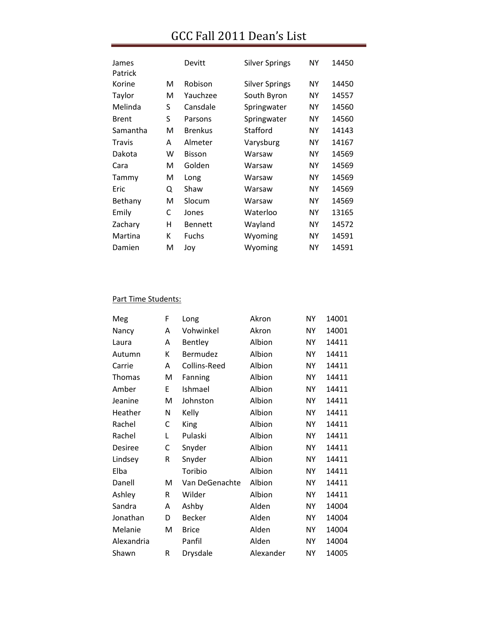| James         |   | Devitt         | <b>Silver Springs</b> | ΝY        | 14450 |
|---------------|---|----------------|-----------------------|-----------|-------|
| Patrick       |   |                |                       |           |       |
| Korine        | М | Robison        | <b>Silver Springs</b> | ΝY        | 14450 |
| Taylor        | м | Yauchzee       | South Byron           | ΝY        | 14557 |
| Melinda       | S | Cansdale       | Springwater           | ΝY        | 14560 |
| <b>Brent</b>  | S | Parsons        | Springwater           | NY.       | 14560 |
| Samantha      | м | <b>Brenkus</b> | Stafford              | ΝY        | 14143 |
| <b>Travis</b> | A | Almeter        | Varysburg             | ΝY        | 14167 |
| Dakota        | w | <b>Bisson</b>  | Warsaw                | <b>NY</b> | 14569 |
| Cara          | м | Golden         | Warsaw                | <b>NY</b> | 14569 |
| Tammy         | M | Long           | Warsaw                | ΝY        | 14569 |
| Eric          | Q | Shaw           | Warsaw                | ΝY        | 14569 |
| Bethany       | м | Slocum         | Warsaw                | <b>NY</b> | 14569 |
| Emily         | C | Jones          | Waterloo              | <b>NY</b> | 13165 |
| Zachary       | н | <b>Bennett</b> | Wayland               | <b>NY</b> | 14572 |
| Martina       | K | Fuchs          | Wyoming               | ΝY        | 14591 |
| Damien        | м | Joy            | Wyoming               | NΥ        | 14591 |

#### Part Time Students:

| Meg        | F | Long           | Akron     | NΥ        | 14001 |
|------------|---|----------------|-----------|-----------|-------|
| Nancy      | A | Vohwinkel      | Akron     | NΥ        | 14001 |
| Laura      | A | Bentley        | Albion    | NΥ        | 14411 |
| Autumn     | К | Bermudez       | Albion    | <b>NY</b> | 14411 |
| Carrie     | A | Collins-Reed   | Albion    | <b>NY</b> | 14411 |
| Thomas     | M | Fanning        | Albion    | <b>NY</b> | 14411 |
| Amber      | E | Ishmael        | Albion    | <b>NY</b> | 14411 |
| Jeanine    | M | Johnston       | Albion    | NΥ        | 14411 |
| Heather    | N | Kelly          | Albion    | <b>NY</b> | 14411 |
| Rachel     | C | <b>King</b>    | Albion    | <b>NY</b> | 14411 |
| Rachel     | Г | Pulaski        | Albion    | <b>NY</b> | 14411 |
| Desiree    | С | Snyder         | Albion    | <b>NY</b> | 14411 |
| Lindsey    | R | Snyder         | Albion    | <b>NY</b> | 14411 |
| Elba       |   | Toribio        | Albion    | <b>NY</b> | 14411 |
| Danell     | M | Van DeGenachte | Albion    | <b>NY</b> | 14411 |
| Ashley     | R | Wilder         | Albion    | <b>NY</b> | 14411 |
| Sandra     | A | Ashby          | Alden     | <b>NY</b> | 14004 |
| Jonathan   | D | <b>Becker</b>  | Alden     | <b>NY</b> | 14004 |
| Melanie    | M | <b>Brice</b>   | Alden     | <b>NY</b> | 14004 |
| Alexandria |   | Panfil         | Alden     | <b>NY</b> | 14004 |
| Shawn      | R | Drysdale       | Alexander | <b>NY</b> | 14005 |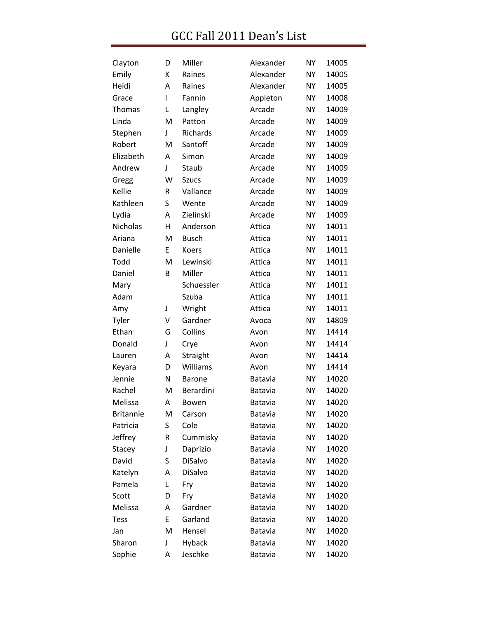| Clayton          | D | Miller        | Alexander      | <b>NY</b> | 14005 |
|------------------|---|---------------|----------------|-----------|-------|
| Emily            | К | Raines        | Alexander      | <b>NY</b> | 14005 |
| Heidi            | Α | Raines        | Alexander      | <b>NY</b> | 14005 |
| Grace            | L | Fannin        | Appleton       | <b>NY</b> | 14008 |
| <b>Thomas</b>    | L | Langley       | Arcade         | <b>NY</b> | 14009 |
| Linda            | M | Patton        | Arcade         | <b>NY</b> | 14009 |
| Stephen          | J | Richards      | Arcade         | <b>NY</b> | 14009 |
| Robert           | M | Santoff       | Arcade         | <b>NY</b> | 14009 |
| Elizabeth        | A | Simon         | Arcade         | <b>NY</b> | 14009 |
| Andrew           | J | Staub         | Arcade         | <b>NY</b> | 14009 |
| Gregg            | W | <b>Szucs</b>  | Arcade         | <b>NY</b> | 14009 |
| Kellie           | R | Vallance      | Arcade         | <b>NY</b> | 14009 |
| Kathleen         | S | Wente         | Arcade         | <b>NY</b> | 14009 |
| Lydia            | А | Zielinski     | Arcade         | <b>NY</b> | 14009 |
| Nicholas         | Η | Anderson      | Attica         | <b>NY</b> | 14011 |
| Ariana           | M | <b>Busch</b>  | Attica         | <b>NY</b> | 14011 |
| Danielle         | E | Koers         | Attica         | <b>NY</b> | 14011 |
| Todd             | M | Lewinski      | Attica         | <b>NY</b> | 14011 |
| Daniel           | B | Miller        | Attica         | <b>NY</b> | 14011 |
| Mary             |   | Schuessler    | Attica         | <b>NY</b> | 14011 |
| Adam             |   | Szuba         | Attica         | <b>NY</b> | 14011 |
| Amy              | J | Wright        | Attica         | <b>NY</b> | 14011 |
| Tyler            | v | Gardner       | Avoca          | <b>NY</b> | 14809 |
| Ethan            | G | Collins       | Avon           | <b>NY</b> | 14414 |
| Donald           | J | Crye          | Avon           | <b>NY</b> | 14414 |
| Lauren           | А | Straight      | Avon           | <b>NY</b> | 14414 |
| Keyara           | D | Williams      | Avon           | <b>NY</b> | 14414 |
| Jennie           | N | <b>Barone</b> | Batavia        | <b>NY</b> | 14020 |
| Rachel           | M | Berardini     | Batavia        | <b>NY</b> | 14020 |
| Melissa          | Α | Bowen         | <b>Batavia</b> | <b>NY</b> | 14020 |
| <b>Britannie</b> | M | Carson        | Batavia        | <b>NY</b> | 14020 |
| Patricia         | S | Cole          | Batavia        | <b>NY</b> | 14020 |
| Jeffrey          | R | Cummisky      | Batavia        | <b>NY</b> | 14020 |
| Stacey           | J | Daprizio      | Batavia        | NΥ        | 14020 |
| David            | S | DiSalvo       | Batavia        | <b>NY</b> | 14020 |
| Katelyn          | A | DiSalvo       | Batavia        | NΥ        | 14020 |
| Pamela           | L | Fry           | Batavia        | <b>NY</b> | 14020 |
| Scott            | D | Fry           | Batavia        | NΥ        | 14020 |
| Melissa          | А | Gardner       | Batavia        | <b>NY</b> | 14020 |
| <b>Tess</b>      | E | Garland       | Batavia        | NΥ        | 14020 |
| Jan              | M | Hensel        | Batavia        | <b>NY</b> | 14020 |
| Sharon           | J | Hyback        | Batavia        | NΥ        | 14020 |
| Sophie           | A | Jeschke       | Batavia        | NY        | 14020 |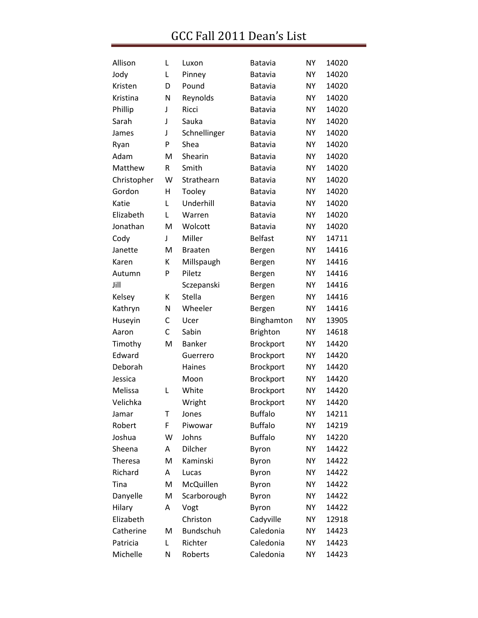| Allison     | Г | Luxon            | <b>Batavia</b>  | NY        | 14020 |
|-------------|---|------------------|-----------------|-----------|-------|
| Jody        | L | Pinney           | Batavia         | NY        | 14020 |
| Kristen     | D | Pound            | Batavia         | <b>NY</b> | 14020 |
| Kristina    | N | Reynolds         | Batavia         | <b>NY</b> | 14020 |
| Phillip     | J | Ricci            | Batavia         | <b>NY</b> | 14020 |
| Sarah       | J | Sauka            | Batavia         | ΝY        | 14020 |
| James       | J | Schnellinger     | Batavia         | <b>NY</b> | 14020 |
| Ryan        | P | Shea             | Batavia         | <b>NY</b> | 14020 |
| Adam        | M | Shearin          | Batavia         | <b>NY</b> | 14020 |
| Matthew     | R | Smith            | Batavia         | NΥ        | 14020 |
| Christopher | W | Strathearn       | Batavia         | NY        | 14020 |
| Gordon      | Η | Tooley           | Batavia         | <b>NY</b> | 14020 |
| Katie       | L | Underhill        | Batavia         | <b>NY</b> | 14020 |
| Elizabeth   | L | Warren           | Batavia         | <b>NY</b> | 14020 |
| Jonathan    | M | Wolcott          | Batavia         | NY        | 14020 |
| Cody        | T | Miller           | <b>Belfast</b>  | <b>NY</b> | 14711 |
| Janette     | M | <b>Braaten</b>   | Bergen          | <b>NY</b> | 14416 |
| Karen       | К | Millspaugh       | Bergen          | <b>NY</b> | 14416 |
| Autumn      | P | Piletz           | Bergen          | NY        | 14416 |
| Jill        |   | Sczepanski       | Bergen          | <b>NY</b> | 14416 |
| Kelsey      | К | Stella           | Bergen          | <b>NY</b> | 14416 |
| Kathryn     | N | Wheeler          | Bergen          | <b>NY</b> | 14416 |
| Huseyin     | С | Ucer             | Binghamton      | <b>NY</b> | 13905 |
| Aaron       | C | Sabin            | <b>Brighton</b> | <b>NY</b> | 14618 |
| Timothy     | M | <b>Banker</b>    | Brockport       | <b>NY</b> | 14420 |
| Edward      |   | Guerrero         | Brockport       | <b>NY</b> | 14420 |
| Deborah     |   | Haines           | Brockport       | <b>NY</b> | 14420 |
| Jessica     |   | Moon             | Brockport       | <b>NY</b> | 14420 |
| Melissa     | L | White            | Brockport       | NY        | 14420 |
| Velichka    |   | Wright           | Brockport       | NY        | 14420 |
| Jamar       | Т | Jones            | <b>Buffalo</b>  | <b>NY</b> | 14211 |
| Robert      | F | Piwowar          | <b>Buffalo</b>  | <b>NY</b> | 14219 |
| Joshua      | W | Johns            | <b>Buffalo</b>  | <b>NY</b> | 14220 |
| Sheena      | A | Dilcher          | Byron           | ΝY        | 14422 |
| Theresa     | M | Kaminski         | Byron           | <b>NY</b> | 14422 |
| Richard     | Α | Lucas            | Byron           | ΝY        | 14422 |
| Tina        | M | McQuillen        | Byron           | <b>NY</b> | 14422 |
| Danyelle    | M | Scarborough      | Byron           | ΝY        | 14422 |
| Hilary      | А | Vogt             | Byron           | <b>NY</b> | 14422 |
| Elizabeth   |   | Christon         | Cadyville       | ΝY        | 12918 |
| Catherine   | M | <b>Bundschuh</b> | Caledonia       | <b>NY</b> | 14423 |
| Patricia    | L | Richter          | Caledonia       | ΝY        | 14423 |
| Michelle    | Ν | Roberts          | Caledonia       | ΝY        | 14423 |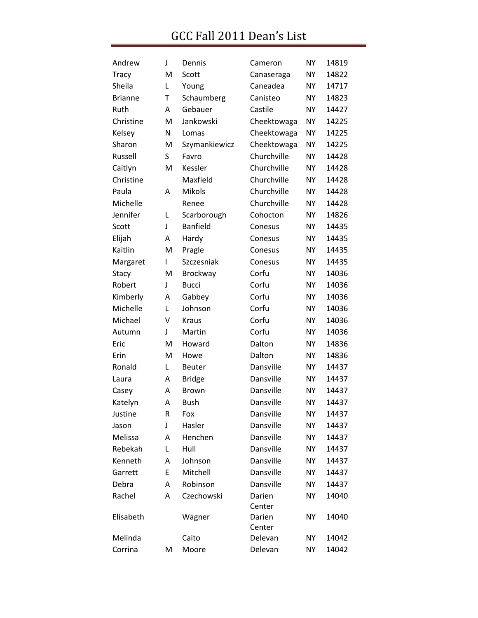| Andrew         | J | Dennis          | Cameron     | <b>NY</b> | 14819 |
|----------------|---|-----------------|-------------|-----------|-------|
| <b>Tracy</b>   | M | Scott           | Canaseraga  | <b>NY</b> | 14822 |
| Sheila         | L | Young           | Caneadea    | NY        | 14717 |
| <b>Brianne</b> | T | Schaumberg      | Canisteo    | <b>NY</b> | 14823 |
| Ruth           | А | Gebauer         | Castile     | NY        | 14427 |
| Christine      | M | Jankowski       | Cheektowaga | <b>NY</b> | 14225 |
| Kelsey         | N | Lomas           | Cheektowaga | <b>NY</b> | 14225 |
| Sharon         | M | Szymankiewicz   | Cheektowaga | <b>NY</b> | 14225 |
| Russell        | S | Favro           | Churchville | <b>NY</b> | 14428 |
| Caitlyn        | M | Kessler         | Churchville | <b>NY</b> | 14428 |
| Christine      |   | Maxfield        | Churchville | NY        | 14428 |
| Paula          | A | Mikols          | Churchville | <b>NY</b> | 14428 |
| Michelle       |   | Renee           | Churchville | NY        | 14428 |
| Jennifer       | L | Scarborough     | Cohocton    | <b>NY</b> | 14826 |
| Scott          | J | <b>Banfield</b> | Conesus     | NY        | 14435 |
| Elijah         | А | Hardy           | Conesus     | <b>NY</b> | 14435 |
| Kaitlin        | M | Pragle          | Conesus     | NY        | 14435 |
| Margaret       | L | Szczesniak      | Conesus     | <b>NY</b> | 14435 |
| Stacy          | M | Brockway        | Corfu       | <b>NY</b> | 14036 |
| Robert         | J | <b>Bucci</b>    | Corfu       | <b>NY</b> | 14036 |
| Kimberly       | A | Gabbey          | Corfu       | NY        | 14036 |
| Michelle       | Г | Johnson         | Corfu       | <b>NY</b> | 14036 |
| Michael        | V | <b>Kraus</b>    | Corfu       | <b>NY</b> | 14036 |
| Autumn         | J | Martin          | Corfu       | <b>NY</b> | 14036 |
| Eric           | M | Howard          | Dalton      | NY        | 14836 |
| Erin           | M | Howe            | Dalton      | <b>NY</b> | 14836 |
| Ronald         | L | Beuter          | Dansville   | NY        | 14437 |
| Laura          | А | <b>Bridge</b>   | Dansville   | <b>NY</b> | 14437 |
| Casey          | A | Brown           | Dansville   | NY        | 14437 |
| Katelyn        | Α | <b>Bush</b>     | Dansville   | <b>NY</b> | 14437 |
| Justine        | R | Fox             | Dansville   | <b>NY</b> | 14437 |
| Jason          | J | Hasler          | Dansville   | <b>NY</b> | 14437 |
| Melissa        | A | Henchen         | Dansville   | NΥ        | 14437 |
| Rebekah        | Г | Hull            | Dansville   | NΥ        | 14437 |
| Kenneth        | A | Johnson         | Dansville   | <b>NY</b> | 14437 |
| Garrett        | E | Mitchell        | Dansville   | <b>NY</b> | 14437 |
| Debra          | A | Robinson        | Dansville   | <b>NY</b> | 14437 |
| Rachel         | A | Czechowski      | Darien      | <b>NY</b> | 14040 |
|                |   |                 | Center      |           |       |
| Elisabeth      |   | Wagner          | Darien      | NΥ        | 14040 |
|                |   |                 | Center      |           |       |
| Melinda        |   | Caito           | Delevan     | <b>NY</b> | 14042 |
| Corrina        | M | Moore           | Delevan     | NΥ        | 14042 |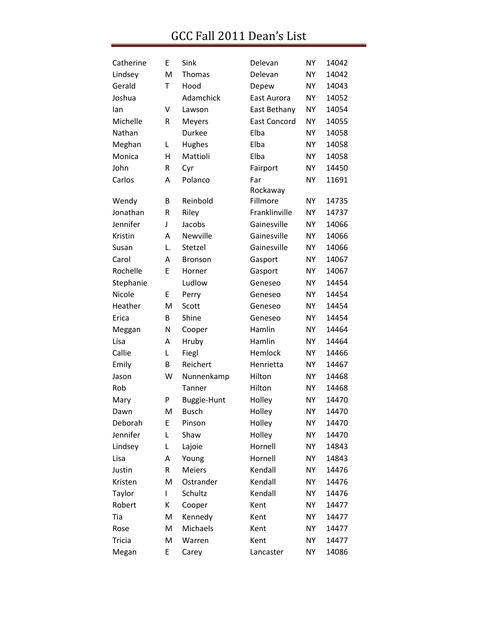| Catherine     | E  | Sink               | Delevan              | <b>NY</b> | 14042 |
|---------------|----|--------------------|----------------------|-----------|-------|
| Lindsey       | M  | Thomas             | Delevan              | <b>NY</b> | 14042 |
| Gerald        | T  | Hood               | Depew                | <b>NY</b> | 14043 |
| Joshua        |    | Adamchick          | East Aurora          | <b>NY</b> | 14052 |
| lan           | V  | Lawson             | East Bethany         | <b>NY</b> | 14054 |
| Michelle      | R  | Meyers             | <b>East Concord</b>  | <b>NY</b> | 14055 |
| Nathan        |    | Durkee             | Elba                 | <b>NY</b> | 14058 |
| Meghan        | L  | Hughes             | Elba                 | <b>NY</b> | 14058 |
| Monica        | Η  | Mattioli           | Elba                 | <b>NY</b> | 14058 |
| John          | R  | Cyr                | Fairport             | <b>NY</b> | 14450 |
| Carlos        | Α  | Polanco            | Far                  | <b>NY</b> | 11691 |
| Wendy         | B  | Reinbold           | Rockaway<br>Fillmore | <b>NY</b> | 14735 |
| Jonathan      | R  | Riley              | Franklinville        | <b>NY</b> | 14737 |
| Jennifer      | J  | Jacobs             | Gainesville          | <b>NY</b> | 14066 |
| Kristin       | A  | Newville           | Gainesville          | <b>NY</b> | 14066 |
| Susan         | L. | Stetzel            | Gainesville          | <b>NY</b> | 14066 |
| Carol         | A  | <b>Bronson</b>     | Gasport              | <b>NY</b> | 14067 |
| Rochelle      | E  | Horner             | Gasport              | <b>NY</b> | 14067 |
| Stephanie     |    | Ludlow             | Geneseo              | <b>NY</b> | 14454 |
| Nicole        | E  | Perry              | Geneseo              | <b>NY</b> | 14454 |
| Heather       | M  | Scott              | Geneseo              | <b>NY</b> | 14454 |
| Erica         | B  | Shine              | Geneseo              | <b>NY</b> | 14454 |
| Meggan        | N  | Cooper             | Hamlin               | <b>NY</b> | 14464 |
| Lisa          | Α  | Hruby              | Hamlin               | <b>NY</b> | 14464 |
| Callie        | L  | Fiegl              | Hemlock              | <b>NY</b> | 14466 |
| Emily         | B  | Reichert           | Henrietta            | <b>NY</b> | 14467 |
| Jason         | W  | Nunnenkamp         | Hilton               | <b>NY</b> | 14468 |
| Rob           |    | Tanner             | Hilton               | <b>NY</b> | 14468 |
| Mary          | P  | <b>Buggie-Hunt</b> | Holley               | <b>NY</b> | 14470 |
| Dawn          | M  | <b>Busch</b>       | Holley               | <b>NY</b> | 14470 |
| Deborah       | E  | Pinson             | Holley               | <b>NY</b> | 14470 |
| Jennifer      | L  | Shaw               | Holley               | <b>NY</b> | 14470 |
| Lindsey       | L  | Lajoie             | Hornell              | <b>NY</b> | 14843 |
| Lisa          | Α  | Young              | Hornell              | <b>NY</b> | 14843 |
| Justin        | R  | <b>Meiers</b>      | Kendall              | <b>NY</b> | 14476 |
| Kristen       | M  | Ostrander          | Kendall              | <b>NY</b> | 14476 |
| Taylor        | L  | Schultz            | Kendall              | <b>NY</b> | 14476 |
| Robert        | К  | Cooper             | Kent                 | <b>NY</b> | 14477 |
| Tia           | M  | Kennedy            | Kent                 | <b>NY</b> | 14477 |
| Rose          | M  | Michaels           | Kent                 | <b>NY</b> | 14477 |
| <b>Tricia</b> | M  | Warren             | Kent                 | <b>NY</b> | 14477 |
| Megan         | E  | Carey              | Lancaster            | <b>NY</b> | 14086 |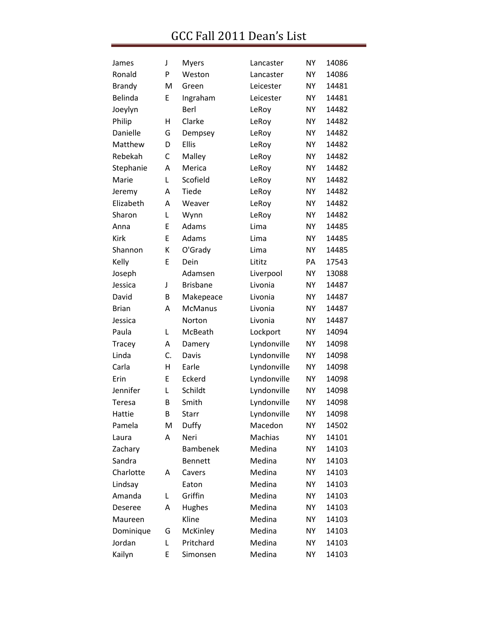| James          | J  | <b>Myers</b>    | Lancaster   | <b>NY</b> | 14086 |
|----------------|----|-----------------|-------------|-----------|-------|
| Ronald         | P  | Weston          | Lancaster   | <b>NY</b> | 14086 |
| <b>Brandy</b>  | M  | Green           | Leicester   | <b>NY</b> | 14481 |
| Belinda        | E  | Ingraham        | Leicester   | <b>NY</b> | 14481 |
| Joeylyn        |    | Berl            | LeRoy       | <b>NY</b> | 14482 |
| Philip         | Η  | Clarke          | LeRoy       | <b>NY</b> | 14482 |
| Danielle       | G  | Dempsey         | LeRoy       | <b>NY</b> | 14482 |
| Matthew        | D  | <b>Ellis</b>    | LeRoy       | <b>NY</b> | 14482 |
| Rebekah        | C  | Malley          | LeRoy       | <b>NY</b> | 14482 |
| Stephanie      | Α  | Merica          | LeRoy       | <b>NY</b> | 14482 |
| Marie          | L  | Scofield        | LeRoy       | <b>NY</b> | 14482 |
| Jeremy         | Α  | Tiede           | LeRoy       | <b>NY</b> | 14482 |
| Elizabeth      | Α  | Weaver          | LeRoy       | <b>NY</b> | 14482 |
| Sharon         | Г  | Wynn            | LeRoy       | <b>NY</b> | 14482 |
| Anna           | E  | Adams           | Lima        | <b>NY</b> | 14485 |
| <b>Kirk</b>    | E  | Adams           | Lima        | <b>NY</b> | 14485 |
| Shannon        | Κ  | O'Grady         | Lima        | <b>NY</b> | 14485 |
| Kelly          | E  | Dein            | Lititz      | PA        | 17543 |
| Joseph         |    | Adamsen         | Liverpool   | <b>NY</b> | 13088 |
| Jessica        | J  | <b>Brisbane</b> | Livonia     | <b>NY</b> | 14487 |
| David          | В  | Makepeace       | Livonia     | <b>NY</b> | 14487 |
| <b>Brian</b>   | Α  | <b>McManus</b>  | Livonia     | <b>NY</b> | 14487 |
| Jessica        |    | Norton          | Livonia     | <b>NY</b> | 14487 |
| Paula          | L  | McBeath         | Lockport    | <b>NY</b> | 14094 |
| Tracey         | A  | Damery          | Lyndonville | <b>NY</b> | 14098 |
| Linda          | C. | Davis           | Lyndonville | <b>NY</b> | 14098 |
| Carla          | Η  | Earle           | Lyndonville | <b>NY</b> | 14098 |
| Erin           | E  | Eckerd          | Lyndonville | <b>NY</b> | 14098 |
| Jennifer       | L  | Schildt         | Lyndonville | <b>NY</b> | 14098 |
| Teresa         | B  | Smith           | Lyndonville | <b>NY</b> | 14098 |
| Hattie         | В  | Starr           | Lyndonville | <b>NY</b> | 14098 |
| Pamela         | M  | Duffy           | Macedon     | <b>NY</b> | 14502 |
| Laura          | Α  | Neri            | Machias     | <b>NY</b> | 14101 |
| Zachary        |    | <b>Bambenek</b> | Medina      | <b>NY</b> | 14103 |
| Sandra         |    | <b>Bennett</b>  | Medina      | <b>NY</b> | 14103 |
| Charlotte      | A  | Cavers          | Medina      | <b>NY</b> | 14103 |
| Lindsay        |    | Eaton           | Medina      | <b>NY</b> | 14103 |
| Amanda         | L  | Griffin         | Medina      | <b>NY</b> | 14103 |
| <b>Deseree</b> | А  | Hughes          | Medina      | <b>NY</b> | 14103 |
| Maureen        |    | Kline           | Medina      | <b>NY</b> | 14103 |
| Dominique      | G  | McKinley        | Medina      | <b>NY</b> | 14103 |
| Jordan         | L  | Pritchard       | Medina      | <b>NY</b> | 14103 |
| Kailyn         | Ε  | Simonsen        | Medina      | <b>NY</b> | 14103 |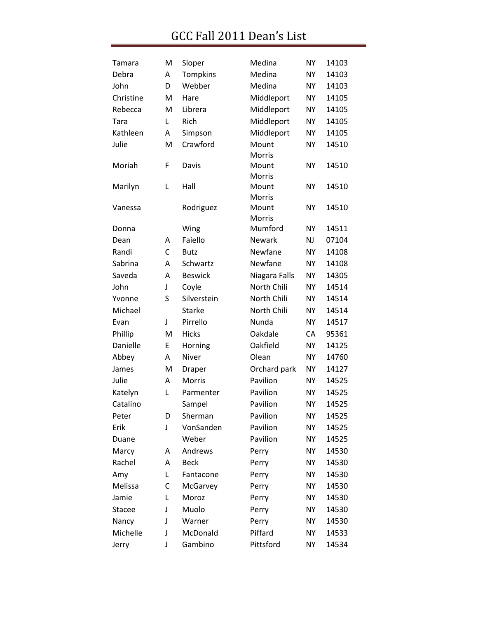| Tamara        | M | Sloper         | Medina          | <b>NY</b> | 14103 |
|---------------|---|----------------|-----------------|-----------|-------|
| Debra         | A | Tompkins       | Medina          | <b>NY</b> | 14103 |
| John          | D | Webber         | Medina          | NΥ        | 14103 |
| Christine     | M | Hare           | Middleport      | <b>NY</b> | 14105 |
| Rebecca       | M | Librera        | Middleport      | <b>NY</b> | 14105 |
| Tara          | L | Rich           | Middleport      | <b>NY</b> | 14105 |
| Kathleen      | Α | Simpson        | Middleport      | <b>NY</b> | 14105 |
| Julie         | M | Crawford       | Mount<br>Morris | <b>NY</b> | 14510 |
| Moriah        | F | Davis          | Mount<br>Morris | NY        | 14510 |
| Marilyn       | Г | Hall           | Mount<br>Morris | <b>NY</b> | 14510 |
| Vanessa       |   | Rodriguez      | Mount<br>Morris | <b>NY</b> | 14510 |
| Donna         |   | Wing           | Mumford         | <b>NY</b> | 14511 |
| Dean          | A | Faiello        | <b>Newark</b>   | <b>NJ</b> | 07104 |
| Randi         | C | <b>Butz</b>    | Newfane         | <b>NY</b> | 14108 |
| Sabrina       | Α | Schwartz       | Newfane         | NΥ        | 14108 |
| Saveda        | Α | <b>Beswick</b> | Niagara Falls   | <b>NY</b> | 14305 |
| John          | J | Coyle          | North Chili     | <b>NY</b> | 14514 |
| Yvonne        | S | Silverstein    | North Chili     | <b>NY</b> | 14514 |
| Michael       |   | <b>Starke</b>  | North Chili     | <b>NY</b> | 14514 |
| Evan          | J | Pirrello       | Nunda           | <b>NY</b> | 14517 |
| Phillip       | M | <b>Hicks</b>   | Oakdale         | СA        | 95361 |
| Danielle      | E | Horning        | Oakfield        | <b>NY</b> | 14125 |
| Abbey         | Α | Niver          | Olean           | <b>NY</b> | 14760 |
| James         | M | Draper         | Orchard park    | <b>NY</b> | 14127 |
| Julie         | A | Morris         | Pavilion        | NY        | 14525 |
| Katelyn       | Г | Parmenter      | Pavilion        | <b>NY</b> | 14525 |
| Catalino      |   | Sampel         | Pavilion        | NY        | 14525 |
| Peter         | D | Sherman        | Pavilion        | NY        | 14525 |
| Erik          | J | VonSanden      | Pavilion        | <b>NY</b> | 14525 |
| Duane         |   | Weber          | Pavilion        | NY        | 14525 |
| Marcy         | Α | Andrews        | Perry           | <b>NY</b> | 14530 |
| Rachel        | Α | <b>Beck</b>    | Perry           | NY        | 14530 |
| Amy           | L | Fantacone      | Perry           | <b>NY</b> | 14530 |
| Melissa       | С | McGarvey       | Perry           | NΥ        | 14530 |
| Jamie         | L | Moroz          | Perry           | <b>NY</b> | 14530 |
| <b>Stacee</b> | J | Muolo          | Perry           | NΥ        | 14530 |
| Nancy         | J | Warner         | Perry           | <b>NY</b> | 14530 |
| Michelle      | J | McDonald       | Piffard         | NΥ        | 14533 |
| Jerry         | J | Gambino        | Pittsford       | ΝY        | 14534 |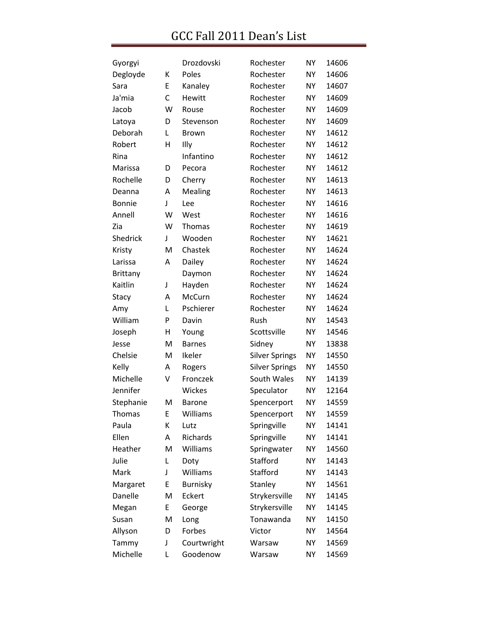| Gyorgyi         |   | Drozdovski      | Rochester             | <b>NY</b> | 14606 |
|-----------------|---|-----------------|-----------------------|-----------|-------|
| Degloyde        | К | Poles           | Rochester             | <b>NY</b> | 14606 |
| Sara            | E | Kanaley         | Rochester             | <b>NY</b> | 14607 |
| Ja'mia          | C | Hewitt          | Rochester             | <b>NY</b> | 14609 |
| Jacob           | W | Rouse           | Rochester             | <b>NY</b> | 14609 |
| Latoya          | D | Stevenson       | Rochester             | <b>NY</b> | 14609 |
| Deborah         | L | <b>Brown</b>    | Rochester             | <b>NY</b> | 14612 |
| Robert          | H | Illy            | Rochester             | <b>NY</b> | 14612 |
| Rina            |   | Infantino       | Rochester             | <b>NY</b> | 14612 |
| Marissa         | D | Pecora          | Rochester             | <b>NY</b> | 14612 |
| Rochelle        | D | Cherry          | Rochester             | <b>NY</b> | 14613 |
| Deanna          | А | Mealing         | Rochester             | <b>NY</b> | 14613 |
| <b>Bonnie</b>   | J | Lee             | Rochester             | <b>NY</b> | 14616 |
| Annell          | W | West            | Rochester             | <b>NY</b> | 14616 |
| Zia             | W | Thomas          | Rochester             | <b>NY</b> | 14619 |
| Shedrick        | J | Wooden          | Rochester             | <b>NY</b> | 14621 |
| Kristy          | M | Chastek         | Rochester             | <b>NY</b> | 14624 |
| Larissa         | А | Dailey          | Rochester             | <b>NY</b> | 14624 |
| <b>Brittany</b> |   | Daymon          | Rochester             | <b>NY</b> | 14624 |
| Kaitlin         | J | Hayden          | Rochester             | <b>NY</b> | 14624 |
| Stacy           | A | McCurn          | Rochester             | <b>NY</b> | 14624 |
| Amy             | Г | Pschierer       | Rochester             | <b>NY</b> | 14624 |
| William         | P | Davin           | Rush                  | <b>NY</b> | 14543 |
| Joseph          | н | Young           | Scottsville           | <b>NY</b> | 14546 |
| Jesse           | M | <b>Barnes</b>   | Sidney                | <b>NY</b> | 13838 |
| Chelsie         | M | Ikeler          | <b>Silver Springs</b> | <b>NY</b> | 14550 |
| Kelly           | A | Rogers          | <b>Silver Springs</b> | <b>NY</b> | 14550 |
| Michelle        | V | Fronczek        | South Wales           | <b>NY</b> | 14139 |
| Jennifer        |   | Wickes          | Speculator            | <b>NY</b> | 12164 |
| Stephanie       | M | <b>Barone</b>   | Spencerport           | <b>NY</b> | 14559 |
| <b>Thomas</b>   | Е | Williams        | Spencerport           | <b>NY</b> | 14559 |
| Paula           | K | Lutz            | Springville           | <b>NY</b> | 14141 |
| Ellen           | А | Richards        | Springville           | <b>NY</b> | 14141 |
| Heather         | M | Williams        | Springwater           | <b>NY</b> | 14560 |
| Julie           | L | Doty            | Stafford              | <b>NY</b> | 14143 |
| Mark            | J | Williams        | Stafford              | <b>NY</b> | 14143 |
| Margaret        | E | <b>Burnisky</b> | Stanley               | <b>NY</b> | 14561 |
| Danelle         | M | Eckert          | Strykersville         | <b>NY</b> | 14145 |
| Megan           | E | George          | Strykersville         | <b>NY</b> | 14145 |
| Susan           | M | Long            | Tonawanda             | <b>NY</b> | 14150 |
| Allyson         | D | Forbes          | Victor                | <b>NY</b> | 14564 |
| Tammy           | J | Courtwright     | Warsaw                | <b>NY</b> | 14569 |
| Michelle        | L | Goodenow        | Warsaw                | <b>NY</b> | 14569 |